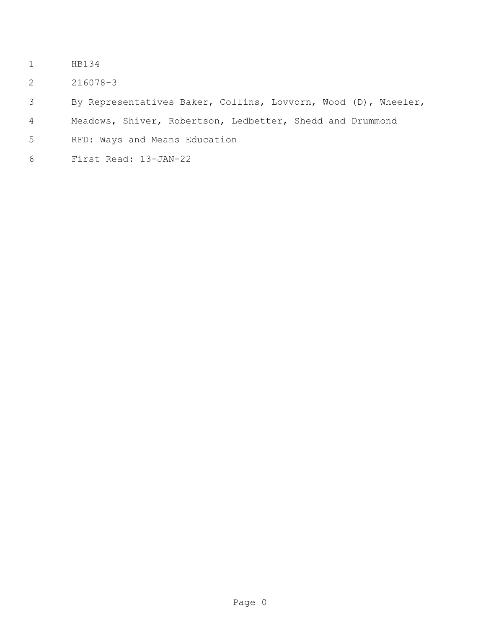- HB134
- 216078-3

By Representatives Baker, Collins, Lovvorn, Wood (D), Wheeler,

Meadows, Shiver, Robertson, Ledbetter, Shedd and Drummond

- RFD: Ways and Means Education
- First Read: 13-JAN-22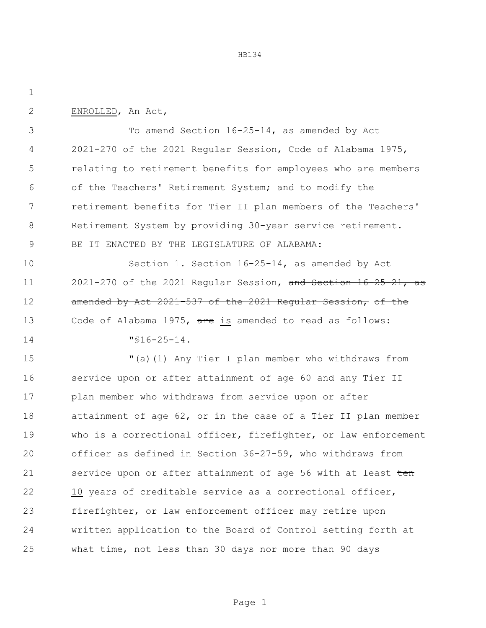ENROLLED, An Act,

 To amend Section 16-25-14, as amended by Act 2021-270 of the 2021 Regular Session, Code of Alabama 1975, relating to retirement benefits for employees who are members of the Teachers' Retirement System; and to modify the retirement benefits for Tier II plan members of the Teachers' Retirement System by providing 30-year service retirement. BE IT ENACTED BY THE LEGISLATURE OF ALABAMA:

 Section 1. Section 16-25-14, as amended by Act 2021-270 of the 2021 Regular Session, and Section 16-25-21, as 12 amended by Act 2021-537 of the 2021 Regular Session, of the 13 Code of Alabama 1975, are is amended to read as follows:

"§16-25-14.

 "(a)(1) Any Tier I plan member who withdraws from service upon or after attainment of age 60 and any Tier II plan member who withdraws from service upon or after attainment of age 62, or in the case of a Tier II plan member who is a correctional officer, firefighter, or law enforcement officer as defined in Section 36-27-59, who withdraws from 21 service upon or after attainment of age 56 with at least ten 10 years of creditable service as a correctional officer, firefighter, or law enforcement officer may retire upon written application to the Board of Control setting forth at what time, not less than 30 days nor more than 90 days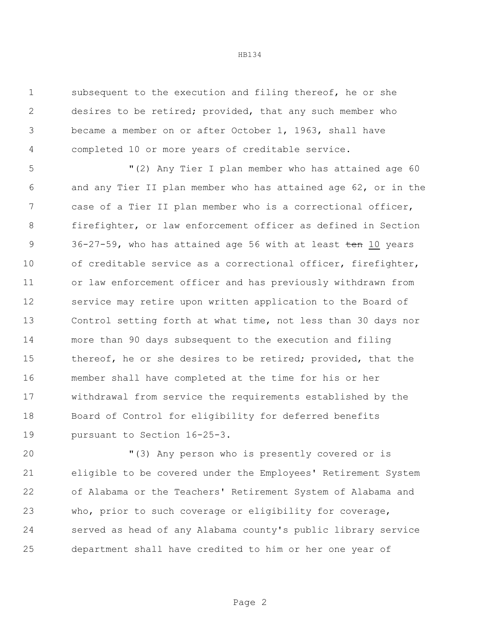subsequent to the execution and filing thereof, he or she desires to be retired; provided, that any such member who became a member on or after October 1, 1963, shall have completed 10 or more years of creditable service.

 "(2) Any Tier I plan member who has attained age 60 and any Tier II plan member who has attained age 62, or in the case of a Tier II plan member who is a correctional officer, firefighter, or law enforcement officer as defined in Section 9 36-27-59, who has attained age 56 with at least ten 10 years of creditable service as a correctional officer, firefighter, or law enforcement officer and has previously withdrawn from service may retire upon written application to the Board of Control setting forth at what time, not less than 30 days nor more than 90 days subsequent to the execution and filing thereof, he or she desires to be retired; provided, that the member shall have completed at the time for his or her withdrawal from service the requirements established by the Board of Control for eligibility for deferred benefits pursuant to Section 16-25-3.

 "(3) Any person who is presently covered or is eligible to be covered under the Employees' Retirement System of Alabama or the Teachers' Retirement System of Alabama and who, prior to such coverage or eligibility for coverage, served as head of any Alabama county's public library service department shall have credited to him or her one year of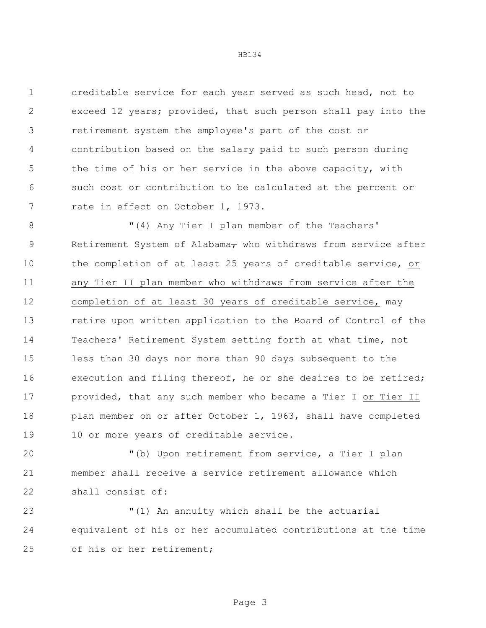creditable service for each year served as such head, not to exceed 12 years; provided, that such person shall pay into the retirement system the employee's part of the cost or contribution based on the salary paid to such person during the time of his or her service in the above capacity, with such cost or contribution to be calculated at the percent or 7 rate in effect on October 1, 1973.

8 "(4) Any Tier I plan member of the Teachers' 9 Retirement System of Alabama<sub>7</sub> who withdraws from service after the completion of at least 25 years of creditable service, or any Tier II plan member who withdraws from service after the completion of at least 30 years of creditable service, may retire upon written application to the Board of Control of the Teachers' Retirement System setting forth at what time, not less than 30 days nor more than 90 days subsequent to the execution and filing thereof, he or she desires to be retired; 17 provided, that any such member who became a Tier I or Tier II plan member on or after October 1, 1963, shall have completed 19 10 or more years of creditable service.

 "(b) Upon retirement from service, a Tier I plan member shall receive a service retirement allowance which shall consist of:

 "(1) An annuity which shall be the actuarial equivalent of his or her accumulated contributions at the time 25 of his or her retirement;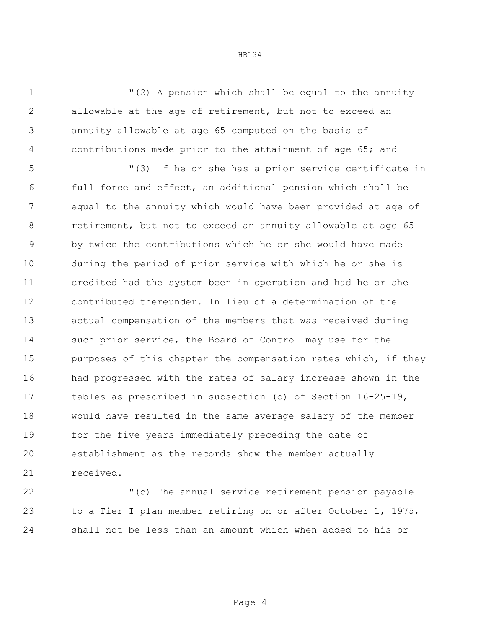"(2) A pension which shall be equal to the annuity allowable at the age of retirement, but not to exceed an annuity allowable at age 65 computed on the basis of contributions made prior to the attainment of age 65; and

 "(3) If he or she has a prior service certificate in full force and effect, an additional pension which shall be equal to the annuity which would have been provided at age of retirement, but not to exceed an annuity allowable at age 65 by twice the contributions which he or she would have made during the period of prior service with which he or she is credited had the system been in operation and had he or she contributed thereunder. In lieu of a determination of the actual compensation of the members that was received during such prior service, the Board of Control may use for the 15 purposes of this chapter the compensation rates which, if they had progressed with the rates of salary increase shown in the tables as prescribed in subsection (o) of Section 16-25-19, would have resulted in the same average salary of the member for the five years immediately preceding the date of establishment as the records show the member actually received.

 "(c) The annual service retirement pension payable to a Tier I plan member retiring on or after October 1, 1975, shall not be less than an amount which when added to his or

Page 4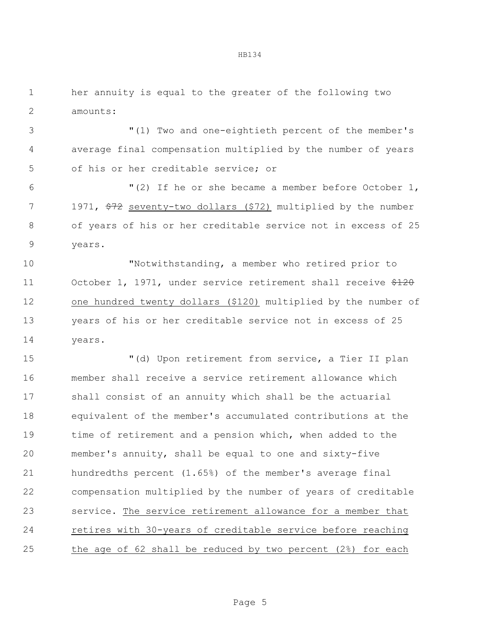her annuity is equal to the greater of the following two amounts:

 "(1) Two and one-eightieth percent of the member's average final compensation multiplied by the number of years of his or her creditable service; or

 "(2) If he or she became a member before October 1, 7 1971,  $\frac{272}{72}$  seventy-two dollars (\$72) multiplied by the number of years of his or her creditable service not in excess of 25 years.

 "Notwithstanding, a member who retired prior to 11 October 1, 1971, under service retirement shall receive  $\frac{2120}{120}$  one hundred twenty dollars (\$120) multiplied by the number of years of his or her creditable service not in excess of 25 years.

 "(d) Upon retirement from service, a Tier II plan member shall receive a service retirement allowance which shall consist of an annuity which shall be the actuarial equivalent of the member's accumulated contributions at the time of retirement and a pension which, when added to the member's annuity, shall be equal to one and sixty-five hundredths percent (1.65%) of the member's average final compensation multiplied by the number of years of creditable service. The service retirement allowance for a member that retires with 30-years of creditable service before reaching the age of 62 shall be reduced by two percent (2%) for each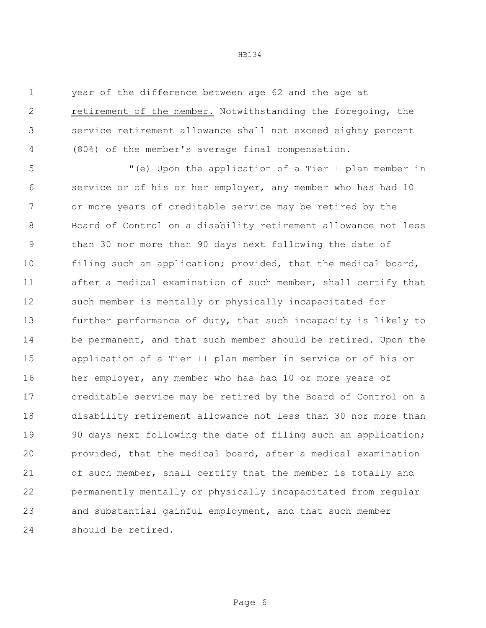## year of the difference between age 62 and the age at

 retirement of the member. Notwithstanding the foregoing, the service retirement allowance shall not exceed eighty percent (80%) of the member's average final compensation.

 "(e) Upon the application of a Tier I plan member in service or of his or her employer, any member who has had 10 or more years of creditable service may be retired by the Board of Control on a disability retirement allowance not less than 30 nor more than 90 days next following the date of filing such an application; provided, that the medical board, after a medical examination of such member, shall certify that such member is mentally or physically incapacitated for further performance of duty, that such incapacity is likely to be permanent, and that such member should be retired. Upon the application of a Tier II plan member in service or of his or 16 her employer, any member who has had 10 or more years of creditable service may be retired by the Board of Control on a disability retirement allowance not less than 30 nor more than 90 days next following the date of filing such an application; provided, that the medical board, after a medical examination of such member, shall certify that the member is totally and permanently mentally or physically incapacitated from regular and substantial gainful employment, and that such member should be retired.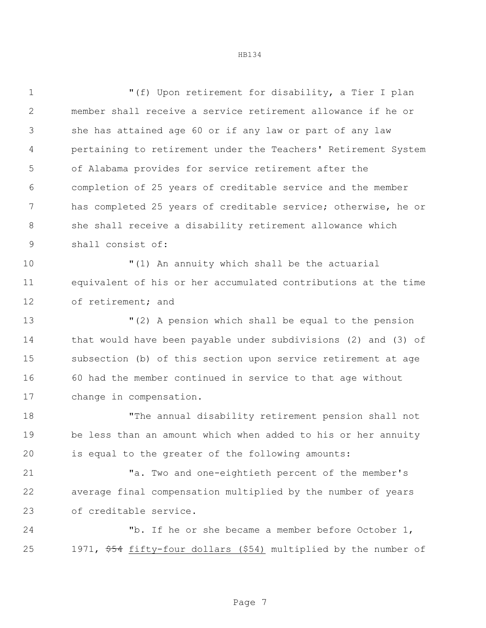"(f) Upon retirement for disability, a Tier I plan member shall receive a service retirement allowance if he or she has attained age 60 or if any law or part of any law pertaining to retirement under the Teachers' Retirement System of Alabama provides for service retirement after the completion of 25 years of creditable service and the member has completed 25 years of creditable service; otherwise, he or she shall receive a disability retirement allowance which shall consist of: "(1) An annuity which shall be the actuarial equivalent of his or her accumulated contributions at the time of retirement; and "(2) A pension which shall be equal to the pension that would have been payable under subdivisions (2) and (3) of subsection (b) of this section upon service retirement at age 60 had the member continued in service to that age without change in compensation. "The annual disability retirement pension shall not be less than an amount which when added to his or her annuity is equal to the greater of the following amounts: "a. Two and one-eightieth percent of the member's average final compensation multiplied by the number of years of creditable service. "b. If he or she became a member before October 1, 1971, \$54 fifty-four dollars (\$54) multiplied by the number of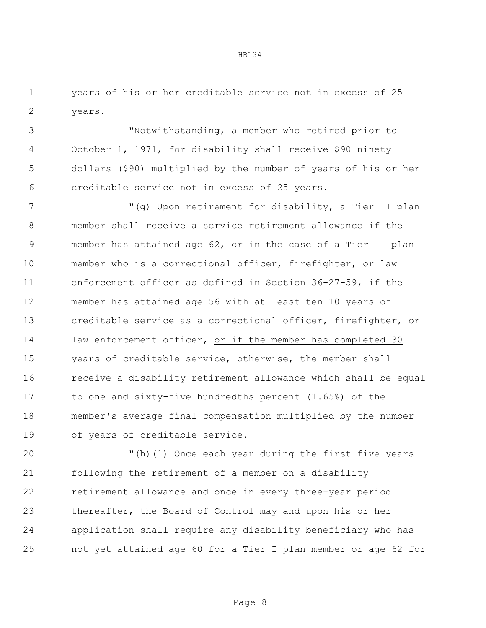years of his or her creditable service not in excess of 25 years.

 "Notwithstanding, a member who retired prior to 4 October 1, 1971, for disability shall receive  $\frac{690}{700}$  ninety dollars (\$90) multiplied by the number of years of his or her creditable service not in excess of 25 years.

7 "(g) Upon retirement for disability, a Tier II plan member shall receive a service retirement allowance if the member has attained age 62, or in the case of a Tier II plan member who is a correctional officer, firefighter, or law enforcement officer as defined in Section 36-27-59, if the 12 member has attained age 56 with at least ten 10 years of creditable service as a correctional officer, firefighter, or 14 law enforcement officer, or if the member has completed 30 years of creditable service, otherwise, the member shall receive a disability retirement allowance which shall be equal to one and sixty-five hundredths percent (1.65%) of the member's average final compensation multiplied by the number of years of creditable service.

 "(h)(1) Once each year during the first five years following the retirement of a member on a disability retirement allowance and once in every three-year period thereafter, the Board of Control may and upon his or her application shall require any disability beneficiary who has not yet attained age 60 for a Tier I plan member or age 62 for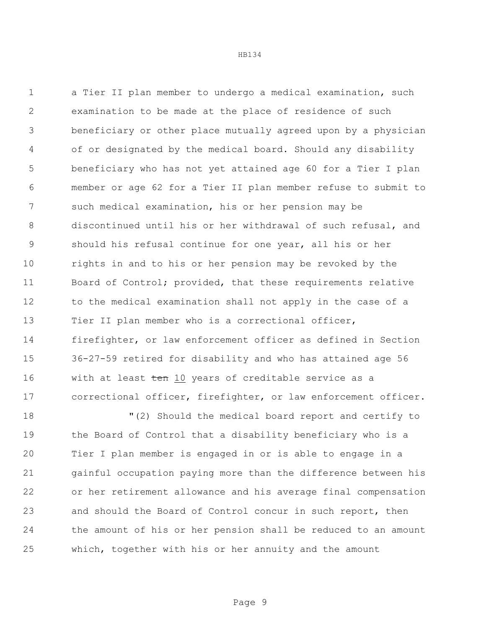a Tier II plan member to undergo a medical examination, such examination to be made at the place of residence of such beneficiary or other place mutually agreed upon by a physician of or designated by the medical board. Should any disability beneficiary who has not yet attained age 60 for a Tier I plan member or age 62 for a Tier II plan member refuse to submit to such medical examination, his or her pension may be discontinued until his or her withdrawal of such refusal, and should his refusal continue for one year, all his or her rights in and to his or her pension may be revoked by the Board of Control; provided, that these requirements relative 12 to the medical examination shall not apply in the case of a Tier II plan member who is a correctional officer, firefighter, or law enforcement officer as defined in Section 36-27-59 retired for disability and who has attained age 56 16 with at least ten 10 years of creditable service as a correctional officer, firefighter, or law enforcement officer.

 "(2) Should the medical board report and certify to the Board of Control that a disability beneficiary who is a Tier I plan member is engaged in or is able to engage in a gainful occupation paying more than the difference between his or her retirement allowance and his average final compensation and should the Board of Control concur in such report, then the amount of his or her pension shall be reduced to an amount which, together with his or her annuity and the amount

Page 9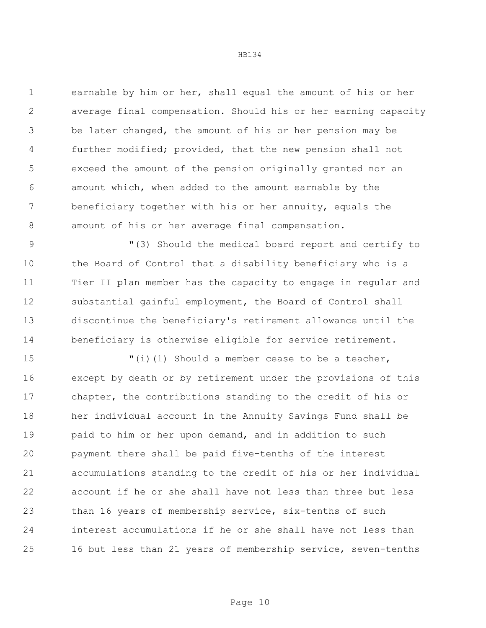earnable by him or her, shall equal the amount of his or her average final compensation. Should his or her earning capacity be later changed, the amount of his or her pension may be further modified; provided, that the new pension shall not exceed the amount of the pension originally granted nor an amount which, when added to the amount earnable by the beneficiary together with his or her annuity, equals the amount of his or her average final compensation.

 "(3) Should the medical board report and certify to the Board of Control that a disability beneficiary who is a Tier II plan member has the capacity to engage in regular and substantial gainful employment, the Board of Control shall discontinue the beneficiary's retirement allowance until the beneficiary is otherwise eligible for service retirement.

 $\blacksquare$  (i)(1) Should a member cease to be a teacher, except by death or by retirement under the provisions of this chapter, the contributions standing to the credit of his or her individual account in the Annuity Savings Fund shall be paid to him or her upon demand, and in addition to such payment there shall be paid five-tenths of the interest accumulations standing to the credit of his or her individual account if he or she shall have not less than three but less than 16 years of membership service, six-tenths of such interest accumulations if he or she shall have not less than 16 but less than 21 years of membership service, seven-tenths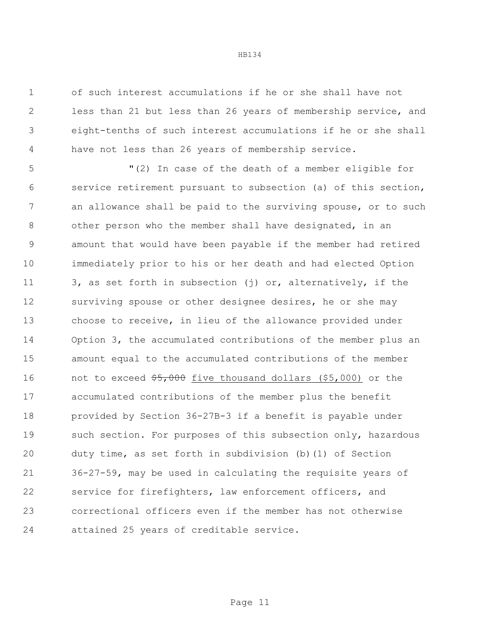of such interest accumulations if he or she shall have not less than 21 but less than 26 years of membership service, and eight-tenths of such interest accumulations if he or she shall have not less than 26 years of membership service.

 "(2) In case of the death of a member eligible for service retirement pursuant to subsection (a) of this section, an allowance shall be paid to the surviving spouse, or to such other person who the member shall have designated, in an amount that would have been payable if the member had retired immediately prior to his or her death and had elected Option 3, as set forth in subsection (j) or, alternatively, if the 12 surviving spouse or other designee desires, he or she may choose to receive, in lieu of the allowance provided under Option 3, the accumulated contributions of the member plus an amount equal to the accumulated contributions of the member 16 not to exceed  $\frac{65,000}{5}$  five thousand dollars (\$5,000) or the accumulated contributions of the member plus the benefit provided by Section 36-27B-3 if a benefit is payable under 19 such section. For purposes of this subsection only, hazardous duty time, as set forth in subdivision (b)(1) of Section 36-27-59, may be used in calculating the requisite years of service for firefighters, law enforcement officers, and correctional officers even if the member has not otherwise attained 25 years of creditable service.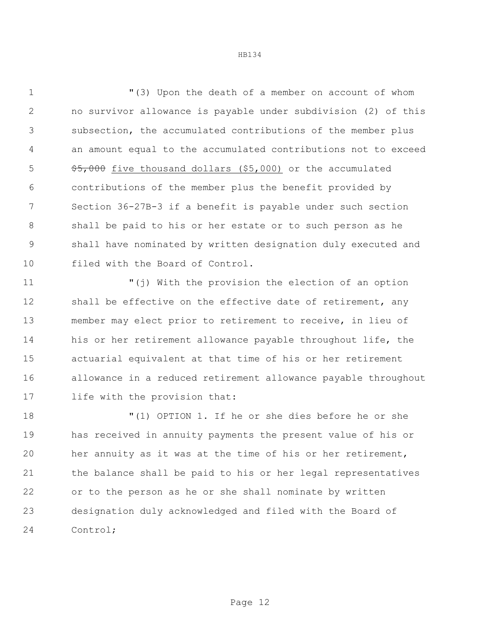"(3) Upon the death of a member on account of whom no survivor allowance is payable under subdivision (2) of this subsection, the accumulated contributions of the member plus an amount equal to the accumulated contributions not to exceed  $\frac{1}{5}$ ,000 five thousand dollars (\$5,000) or the accumulated contributions of the member plus the benefit provided by Section 36-27B-3 if a benefit is payable under such section shall be paid to his or her estate or to such person as he shall have nominated by written designation duly executed and filed with the Board of Control.

 "(j) With the provision the election of an option 12 shall be effective on the effective date of retirement, any member may elect prior to retirement to receive, in lieu of his or her retirement allowance payable throughout life, the actuarial equivalent at that time of his or her retirement allowance in a reduced retirement allowance payable throughout life with the provision that:

 "(1) OPTION 1. If he or she dies before he or she has received in annuity payments the present value of his or her annuity as it was at the time of his or her retirement, the balance shall be paid to his or her legal representatives or to the person as he or she shall nominate by written designation duly acknowledged and filed with the Board of Control;

Page 12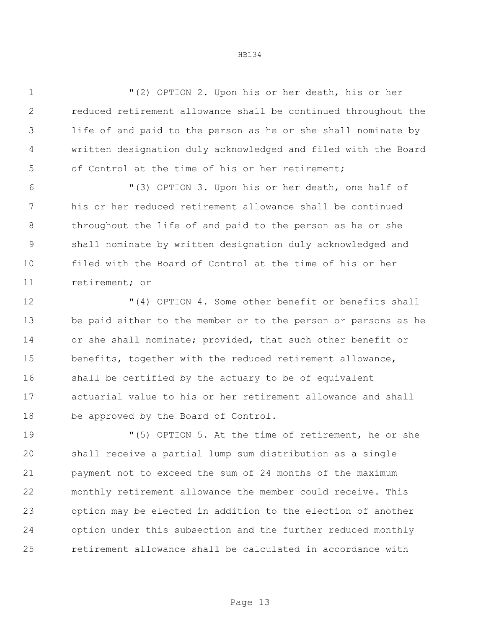"(2) OPTION 2. Upon his or her death, his or her reduced retirement allowance shall be continued throughout the life of and paid to the person as he or she shall nominate by written designation duly acknowledged and filed with the Board of Control at the time of his or her retirement;

 "(3) OPTION 3. Upon his or her death, one half of his or her reduced retirement allowance shall be continued throughout the life of and paid to the person as he or she shall nominate by written designation duly acknowledged and filed with the Board of Control at the time of his or her retirement; or

 "(4) OPTION 4. Some other benefit or benefits shall be paid either to the member or to the person or persons as he or she shall nominate; provided, that such other benefit or benefits, together with the reduced retirement allowance, shall be certified by the actuary to be of equivalent actuarial value to his or her retirement allowance and shall be approved by the Board of Control.

 "(5) OPTION 5. At the time of retirement, he or she shall receive a partial lump sum distribution as a single payment not to exceed the sum of 24 months of the maximum monthly retirement allowance the member could receive. This option may be elected in addition to the election of another option under this subsection and the further reduced monthly retirement allowance shall be calculated in accordance with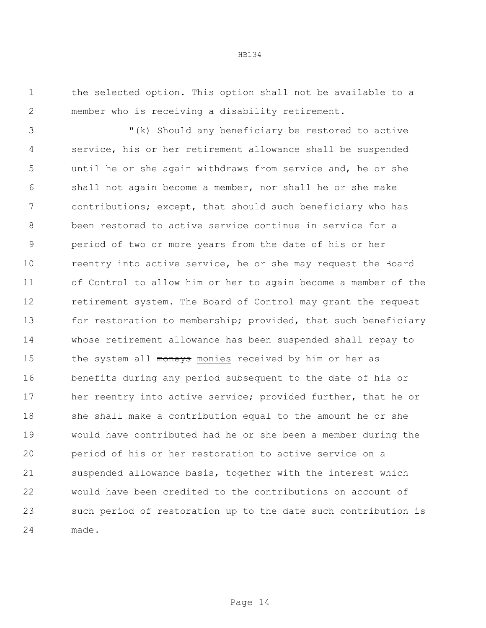the selected option. This option shall not be available to a member who is receiving a disability retirement.

 "(k) Should any beneficiary be restored to active service, his or her retirement allowance shall be suspended until he or she again withdraws from service and, he or she shall not again become a member, nor shall he or she make contributions; except, that should such beneficiary who has been restored to active service continue in service for a period of two or more years from the date of his or her reentry into active service, he or she may request the Board of Control to allow him or her to again become a member of the retirement system. The Board of Control may grant the request 13 for restoration to membership; provided, that such beneficiary whose retirement allowance has been suspended shall repay to 15 the system all moneys monies received by him or her as benefits during any period subsequent to the date of his or 17 her reentry into active service; provided further, that he or she shall make a contribution equal to the amount he or she would have contributed had he or she been a member during the period of his or her restoration to active service on a suspended allowance basis, together with the interest which would have been credited to the contributions on account of such period of restoration up to the date such contribution is made.

Page 14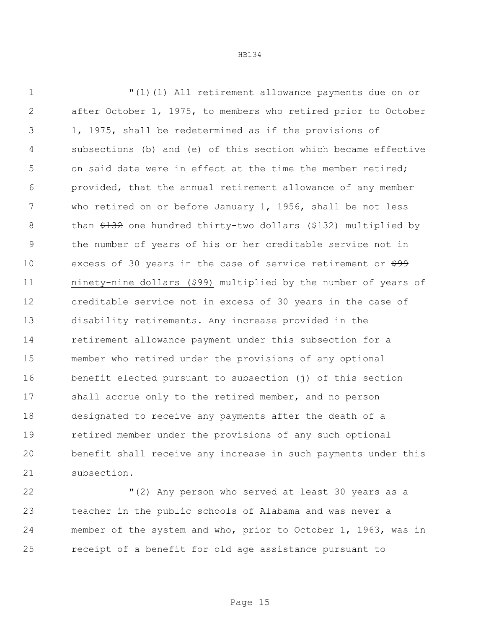"(l)(1) All retirement allowance payments due on or after October 1, 1975, to members who retired prior to October 1, 1975, shall be redetermined as if the provisions of subsections (b) and (e) of this section which became effective 5 on said date were in effect at the time the member retired; provided, that the annual retirement allowance of any member who retired on or before January 1, 1956, shall be not less 8 than  $\frac{132}{2}$  one hundred thirty-two dollars (\$132) multiplied by the number of years of his or her creditable service not in 10 excess of 30 years in the case of service retirement or  $\frac{699}{7}$  ninety-nine dollars (\$99) multiplied by the number of years of creditable service not in excess of 30 years in the case of disability retirements. Any increase provided in the retirement allowance payment under this subsection for a member who retired under the provisions of any optional benefit elected pursuant to subsection (j) of this section shall accrue only to the retired member, and no person designated to receive any payments after the death of a retired member under the provisions of any such optional benefit shall receive any increase in such payments under this subsection.

 "(2) Any person who served at least 30 years as a teacher in the public schools of Alabama and was never a member of the system and who, prior to October 1, 1963, was in receipt of a benefit for old age assistance pursuant to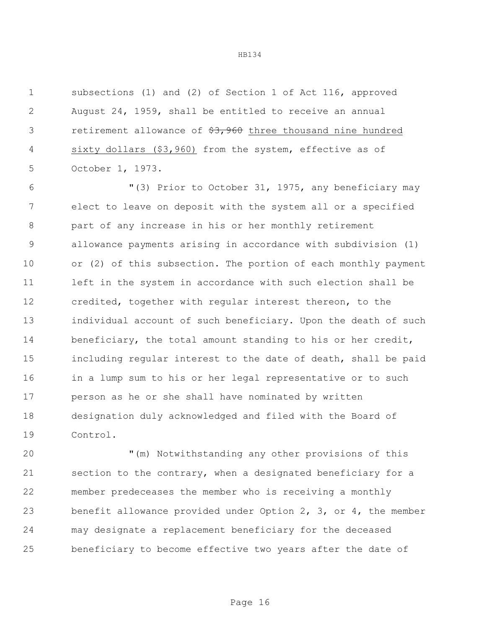subsections (1) and (2) of Section 1 of Act 116, approved August 24, 1959, shall be entitled to receive an annual 3 retirement allowance of  $\frac{27}{53}$ , 960 three thousand nine hundred sixty dollars (\$3,960) from the system, effective as of October 1, 1973.

 "(3) Prior to October 31, 1975, any beneficiary may elect to leave on deposit with the system all or a specified part of any increase in his or her monthly retirement allowance payments arising in accordance with subdivision (1) or (2) of this subsection. The portion of each monthly payment left in the system in accordance with such election shall be credited, together with regular interest thereon, to the individual account of such beneficiary. Upon the death of such 14 beneficiary, the total amount standing to his or her credit, including regular interest to the date of death, shall be paid in a lump sum to his or her legal representative or to such person as he or she shall have nominated by written designation duly acknowledged and filed with the Board of Control.

 "(m) Notwithstanding any other provisions of this section to the contrary, when a designated beneficiary for a member predeceases the member who is receiving a monthly benefit allowance provided under Option 2, 3, or 4, the member may designate a replacement beneficiary for the deceased beneficiary to become effective two years after the date of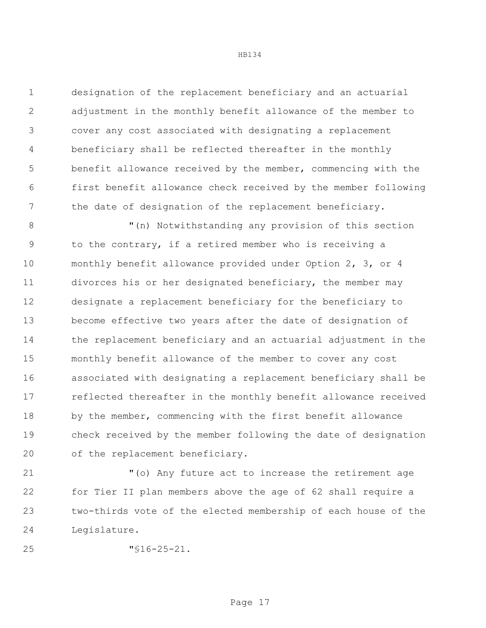designation of the replacement beneficiary and an actuarial adjustment in the monthly benefit allowance of the member to cover any cost associated with designating a replacement beneficiary shall be reflected thereafter in the monthly benefit allowance received by the member, commencing with the first benefit allowance check received by the member following 7 the date of designation of the replacement beneficiary.

8 "(n) Notwithstanding any provision of this section to the contrary, if a retired member who is receiving a monthly benefit allowance provided under Option 2, 3, or 4 divorces his or her designated beneficiary, the member may designate a replacement beneficiary for the beneficiary to become effective two years after the date of designation of the replacement beneficiary and an actuarial adjustment in the monthly benefit allowance of the member to cover any cost associated with designating a replacement beneficiary shall be reflected thereafter in the monthly benefit allowance received 18 by the member, commencing with the first benefit allowance check received by the member following the date of designation of the replacement beneficiary.

 "(o) Any future act to increase the retirement age for Tier II plan members above the age of 62 shall require a two-thirds vote of the elected membership of each house of the Legislature.

"§16-25-21.

Page 17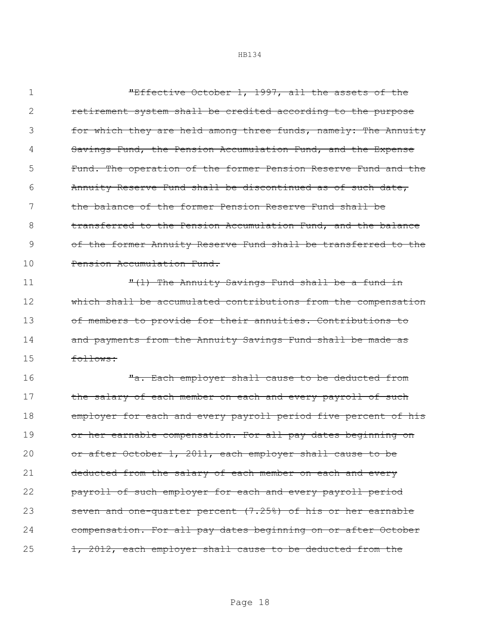"Effective October 1, 1997, all the assets of the retirement system shall be credited according to the purpose 3 for which they are held among three funds, namely: The Annuity 4 Savings Fund, the Pension Accumulation Fund, and the Expense Fund. The operation of the former Pension Reserve Fund and the Annuity Reserve Fund shall be discontinued as of such date, the balance of the former Pension Reserve Fund shall be **transferred to the Pension Accumulation Fund, and the balance**  of the former Annuity Reserve Fund shall be transferred to the 10 Pension Accumulation Fund.

11 The Annuity Savings Fund shall be a fund in 12 which shall be accumulated contributions from the compensation 13 of members to provide for their annuities. Contributions to 14 and payments from the Annuity Savings Fund shall be made as 15 follows:

16 Ta. Each employer shall cause to be deducted from 17 the salary of each member on each and every payroll of such 18 employer for each and every payroll period five percent of his 19 or her earnable compensation. For all pay dates beginning on 20 or after October 1, 2011, each employer shall cause to be 21 deducted from the salary of each member on each and every 22 payroll of such employer for each and every payroll period 23 seven and one-quarter percent (7.25%) of his or her earnable 24 compensation. For all pay dates beginning on or after October 25 1, 2012, each employer shall cause to be deducted from the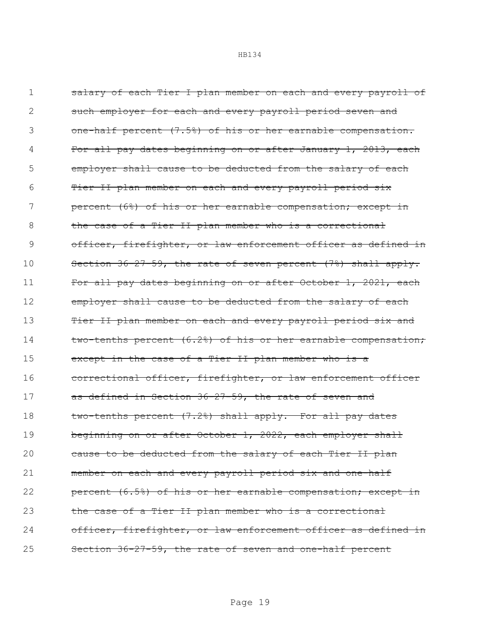| 1  | salary of each Tier I plan member on each and every payroll of      |
|----|---------------------------------------------------------------------|
| 2  | such employer for each and every payroll period seven and           |
| 3  | one-half percent (7.5%) of his or her earnable compensation.        |
| 4  | For all pay dates beginning on or after January 1, 2013, each       |
| 5  | employer shall cause to be deducted from the salary of each         |
| 6  | <u>Tier II plan member on each and every payroll period six</u>     |
| 7  | percent (6%) of his or her earnable compensation; except in         |
| 8  | the case of a Tier II plan member who is a correctional             |
| 9  | officer, firefighter, or law enforcement officer as defined in      |
| 10 | Section $36-27-59$ , the rate of seven percent $(7%)$ shall apply.  |
| 11 | For all pay dates beginning on or after October 1, 2021, each       |
| 12 | employer shall cause to be deducted from the salary of each         |
| 13 | <u>Tier II plan member on each and every payroll period six and</u> |
| 14 | two-tenths percent (6.2%) of his or her earnable compensation;      |
| 15 | except in the case of a Tier II plan member who is a                |
| 16 | correctional officer, firefighter, or law enforcement officer       |
| 17 | as defined in Section 36-27-59, the rate of seven and               |
| 18 | two-tenths percent (7.2%) shall apply. For all pay dates            |
| 19 | beginning on or after October 1, 2022, each employer shall          |
| 20 | cause to be deducted from the salary of each Tier II plan           |
| 21 | member on each and every payroll period six and one-half            |
| 22 | percent (6.5%) of his or her earnable compensation; except in       |
| 23 | the case of a Tier II plan member who is a correctional             |
| 24 | officer, firefighter, or law enforcement officer as defined in      |
| 25 | Section 36-27-59, the rate of seven and one-half percent            |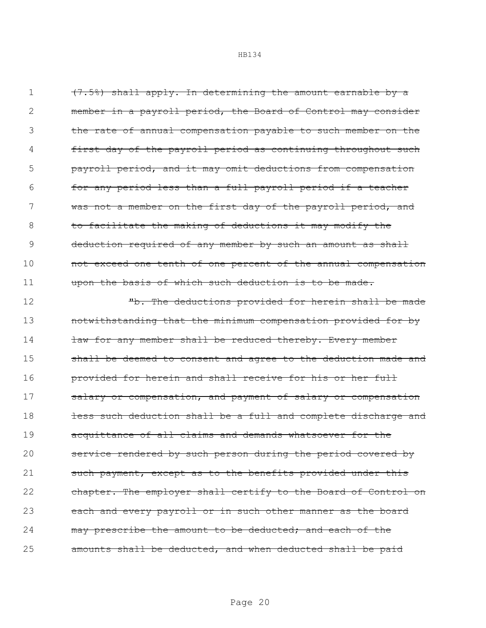$(7.5%)$  shall apply. In determining the amount earnable by a member in a payroll period, the Board of Control may consider the rate of annual compensation payable to such member on the first day of the payroll period as continuing throughout such payroll period, and it may omit deductions from compensation for any period less than a full payroll period if a teacher 7 was not a member on the first day of the payroll period, and 8 to facilitate the making of deductions it may modify the 9 deduction required of any member by such an amount as shall **not exceed one tenth of one percent of the annual compensation** 11 upon the basis of which such deduction is to be made.

12 The deductions provided for herein shall be made 13 notwithstanding that the minimum compensation provided for by 14 **law for any member shall be reduced thereby. Every member** 15 shall be deemed to consent and agree to the deduction made and 16 **provided for herein and shall receive for his or her full** 17 salary or compensation, and payment of salary or compensation 18 **less such deduction shall be a full and complete discharge and** 19 acquittance of all claims and demands whatsoever for the 20 service rendered by such person during the period covered by 21 such payment, except as to the benefits provided under this 22 chapter. The employer shall certify to the Board of Control on 23 each and every payroll or in such other manner as the board 24 may prescribe the amount to be deducted; and each of the 25 amounts shall be deducted, and when deducted shall be paid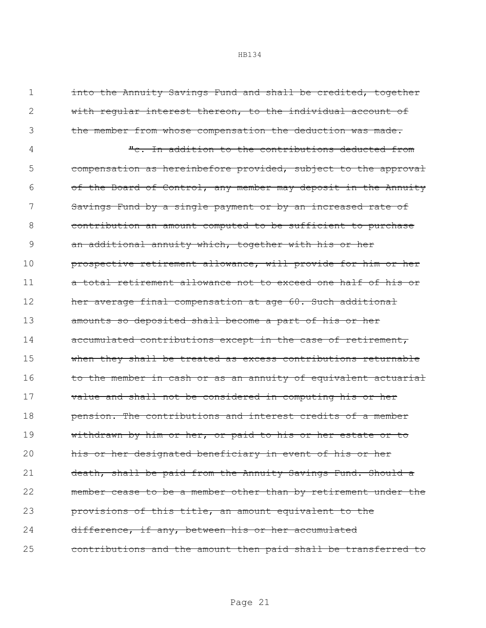| 1  | into the Annuity Savings Fund and shall be credited, together  |
|----|----------------------------------------------------------------|
| 2  | with regular interest thereon, to the individual account of    |
| 3  | the member from whose compensation the deduction was made.     |
| 4  | "c. In addition to the contributions deducted from             |
| 5  | compensation as hereinbefore provided, subject to the approval |
| 6  | of the Board of Control, any member may deposit in the Annuity |
|    | Savings Fund by a single payment or by an increased rate of    |
| 8  | contribution an amount computed to be sufficient to purchase   |
| 9  | an additional annuity which, together with his or her          |
| 10 | prospective retirement allowance, will provide for him or her  |
| 11 | a total retirement allowance not to exceed one half of his or  |
| 12 | her average final compensation at age 60. Such additional      |
| 13 | amounts so deposited shall become a part of his or her         |
| 14 | accumulated contributions except in the case of retirement,    |
| 15 | when they shall be treated as excess contributions returnable  |
| 16 | to the member in cash or as an annuity of equivalent actuarial |
| 17 | value and shall not be considered in computing his or her      |
| 18 | pension. The contributions and interest credits of a member    |
| 19 | withdrawn by him or her, or paid to his or her estate or to    |
| 20 | his or her designated beneficiary in event of his or her       |
| 21 | death, shall be paid from the Annuity Savings Fund. Should a   |
| 22 | member cease to be a member other than by retirement under the |
| 23 | provisions of this title, an amount equivalent to the          |
| 24 | difference, if any, between his or her accumulated             |
| 25 | contributions and the amount then paid shall be transferred to |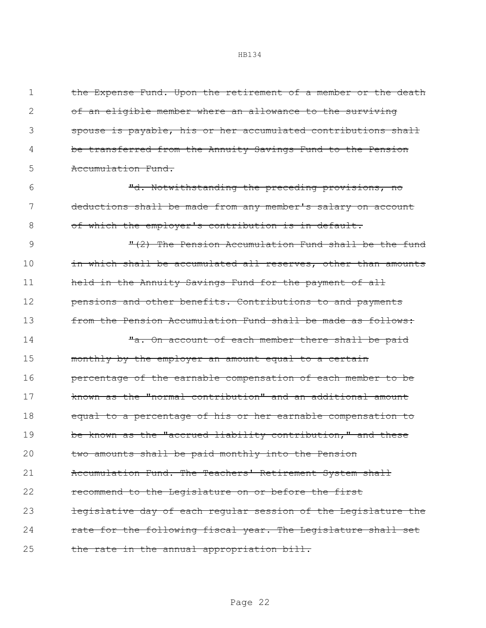1 the Expense Fund. Upon the retirement of a member or the death of an eligible member where an allowance to the surviving spouse is payable, his or her accumulated contributions shall be transferred from the Annuity Savings Fund to the Pension **Accumulation Fund.** 

6 "d. Notwithstanding the preceding provisions, no 7 deductions shall be made from any member's salary on account 8 of which the employer's contribution is in default.

9 3 The Pension Accumulation Fund shall be the fund 10 in which shall be accumulated all reserves, other than amounts 11 held in the Annuity Savings Fund for the payment of all 12 **pensions and other benefits. Contributions to and payments** 13 from the Pension Accumulation Fund shall be made as follows:

14 Ta. On account of each member there shall be paid 15 monthly by the employer an amount equal to a certain 16 **percentage of the earnable compensation of each member to be** 17 **known as the "normal contribution" and an additional amount** 18 equal to a percentage of his or her earnable compensation to 19 be known as the "accrued liability contribution," and these 20 two amounts shall be paid monthly into the Pension 21 Accumulation Fund. The Teachers' Retirement System shall 22 recommend to the Legislature on or before the first 23 legislative day of each regular session of the Legislature the 24 rate for the following fiscal year. The Legislature shall set 25 the rate in the annual appropriation bill.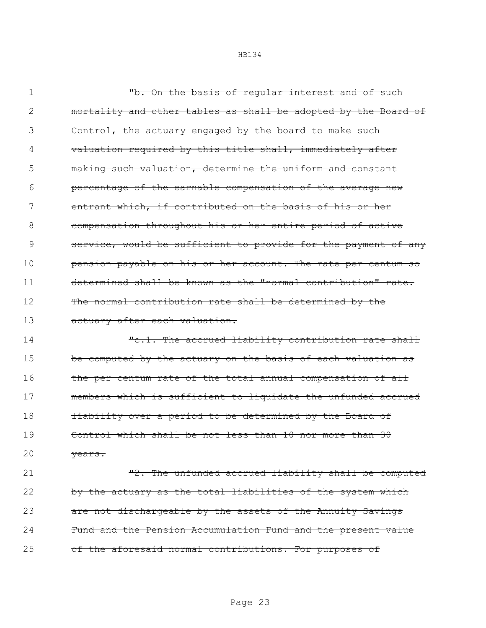1 Th. On the basis of requiar interest and of such 2 mortality and other tables as shall be adopted by the Board of 3 Control, the actuary engaged by the board to make such 4 valuation required by this title shall, immediately after 5 making such valuation, determine the uniform and constant 6 percentage of the earnable compensation of the average new 7 entrant which, if contributed on the basis of his or her 8 compensation throughout his or her entire period of active 9 service, would be sufficient to provide for the payment of any 10 **pension payable on his or her account. The rate per centum so** 11 determined shall be known as the "normal contribution" rate. 12 The normal contribution rate shall be determined by the 13 actuary after each valuation.

14 The accrued liability contribution rate shall 15 be computed by the actuary on the basis of each valuation as 16 the per centum rate of the total annual compensation of all 17 members which is sufficient to liquidate the unfunded accrued 18 **liability over a period to be determined by the Board of** 19 Control which shall be not less than 10 nor more than 30 20 years.

21 The unfunded accrued liability shall be computed 22 by the actuary as the total liabilities of the system which 23 are not dischargeable by the assets of the Annuity Savings 24 Fund and the Pension Accumulation Fund and the present value 25 of the aforesaid normal contributions. For purposes of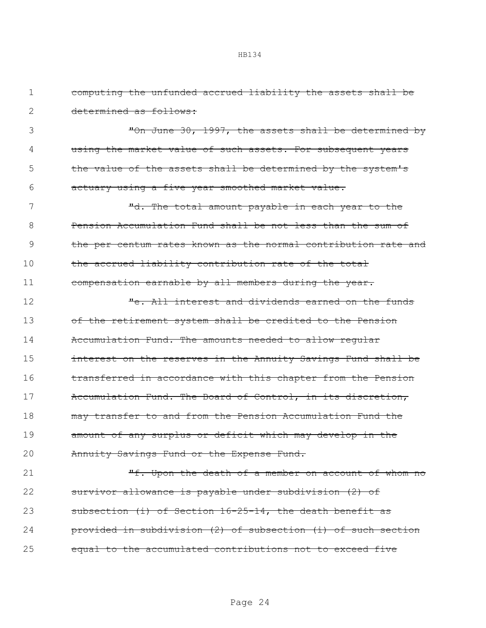| 1  | computing the unfunded accrued liability the assets shall be   |
|----|----------------------------------------------------------------|
| 2  | determined as follows:                                         |
| 3  | "On June 30, 1997, the assets shall be determined by           |
| 4  | using the market value of such assets. For subsequent years    |
| 5  | the value of the assets shall be determined by the system's    |
| 6  | actuary using a five year smoothed market value.               |
| 7  | "d. The total amount payable in each year to the               |
| 8  | Pension Accumulation Fund shall be not less than the sum of    |
| 9  | the per centum rates known as the normal contribution rate and |
| 10 | the accrued liability contribution rate of the total           |
| 11 | compensation earnable by all members during the year.          |
| 12 | "e. All interest and dividends earned on the funds             |
| 13 | of the retirement system shall be credited to the Pension      |
| 14 | Accumulation Fund. The amounts needed to allow regular         |
| 15 | interest on the reserves in the Annuity Savings Fund shall be  |
| 16 | transferred in accordance with this chapter from the Pension   |
| 17 | Accumulation Fund. The Board of Control, in its discretion,    |
| 18 | may transfer to and from the Pension Accumulation Fund the     |
| 19 | amount of any surplus or deficit which may develop in the      |
| 20 | Annuity Savings Fund or the Expense Fund.                      |
| 21 | "f. Upon the death of a member on account of whom no           |
| 22 | survivor allowance is payable under subdivision (2) of         |
| 23 | subsection (i) of Section 16-25-14, the death benefit as       |
| 24 | provided in subdivision (2) of subsection (i) of such section  |
| 25 | equal to the accumulated contributions not to exceed five      |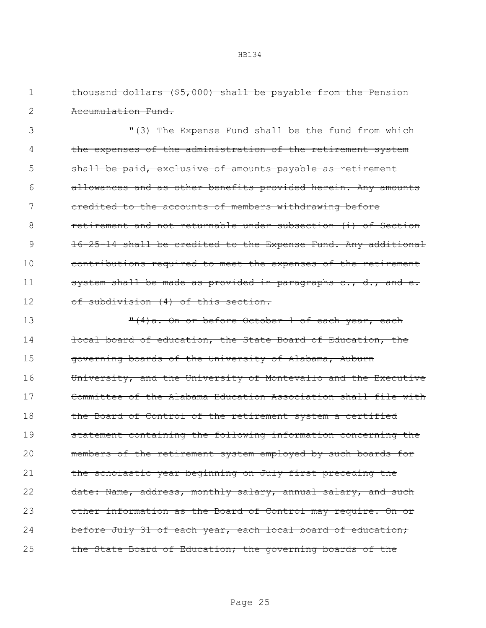| 2  | <del>Accumulation Fund.</del>                                  |
|----|----------------------------------------------------------------|
| 3  | "(3) The Expense Fund shall be the fund from which             |
| 4  | the expenses of the administration of the retirement system    |
| 5  | shall be paid, exclusive of amounts payable as retirement      |
| 6  | allowances and as other benefits provided herein. Any amounts  |
|    | credited to the accounts of members withdrawing before         |
| 8  | retirement and not returnable under subsection (i) of Section  |
| 9  | 16-25-14 shall be credited to the Expense Fund. Any additional |
| 10 | contributions required to meet the expenses of the retirement  |
| 11 | system shall be made as provided in paragraphs c., d., and e.  |
| 12 | of subdivision (4) of this section.                            |
|    |                                                                |

1 thousand dollars (\$5,000) shall be payable from the Pension

13 T(4)a. On or before October 1 of each year, each 14 **local board of education, the State Board of Education, the** 15 governing boards of the University of Alabama, Auburn 16 University, and the University of Montevallo and the Executive 17 Committee of the Alabama Education Association shall file with 18 the Board of Control of the retirement system a certified 19 statement containing the following information concerning the 20 members of the retirement system employed by such boards for 21 the scholastic year beginning on July first preceding the 22 date: Name, address, monthly salary, annual salary, and such 23 other information as the Board of Control may require. On or 24 before July 31 of each year, each local board of education; 25 the State Board of Education; the governing boards of the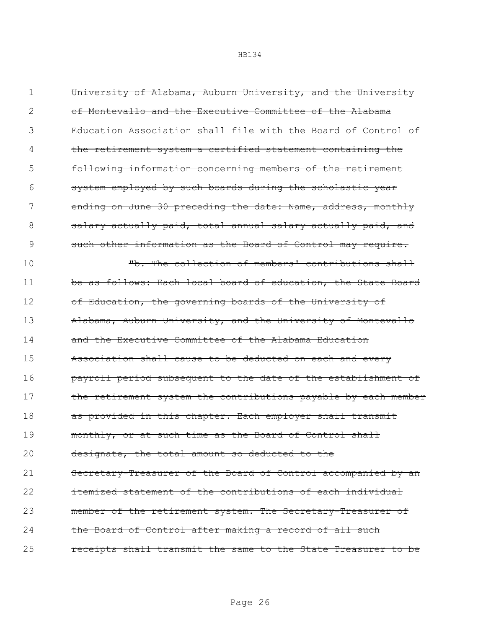1 University of Alabama, Auburn University, and the University 2 of Montevallo and the Executive Committee of the Alabama 3 Education Association shall file with the Board of Control of the retirement system a certified statement containing the 5 following information concerning members of the retirement 6 system employed by such boards during the scholastic year 7 ending on June 30 preceding the date: Name, address, monthly 8 salary actually paid, total annual salary actually paid, and 9 such other information as the Board of Control may require. 10 The collection of members' contributions shall 11 be as follows: Each local board of education, the State Board 12 of Education, the governing boards of the University of 13 Alabama, Auburn University, and the University of Montevallo 14 and the Executive Committee of the Alabama Education 15 Association shall cause to be deducted on each and every 16 **payroll period subsequent to the date of the establishment of** 17 the retirement system the contributions payable by each member 18 as provided in this chapter. Each employer shall transmit 19 monthly, or at such time as the Board of Control shall 20 designate, the total amount so deducted to the 21 Secretary-Treasurer of the Board of Control accompanied by an 22 **itemized statement of the contributions of each individual** 23 member of the retirement system. The Secretary-Treasurer of 24 the Board of Control after making a record of all such 25 **receipts shall transmit the same to the State Treasurer to be**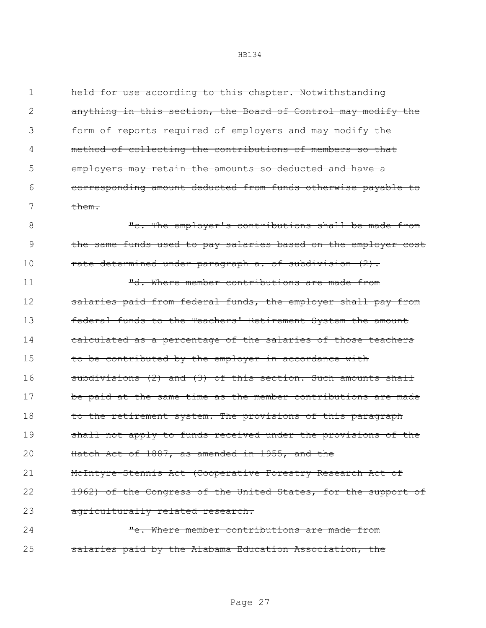held for use according to this chapter. Notwithstanding anything in this section, the Board of Control may modify the form of reports required of employers and may modify the method of collecting the contributions of members so that employers may retain the amounts so deducted and have a corresponding amount deducted from funds otherwise payable to 7 them.

8 The employer's contributions shall be made from 9 the same funds used to pay salaries based on the employer cost 10 **rate determined under paragraph a. of subdivision (2).** 

11 The state of the member contributions are made from 12 salaries paid from federal funds, the employer shall pay from 13 federal funds to the Teachers' Retirement System the amount 14 calculated as a percentage of the salaries of those teachers 15 to be contributed by the employer in accordance with 16 subdivisions (2) and (3) of this section. Such amounts shall 17 be paid at the same time as the member contributions are made 18 to the retirement system. The provisions of this paragraph 19 shall not apply to funds received under the provisions of the 20 Hatch Act of 1887, as amended in 1955, and the 21 McIntyre-Stennis Act (Cooperative Forestry Research Act of 22 1962) of the Congress of the United States, for the support of 23 agriculturally related research. 24 Te. Where member contributions are made from

25 salaries paid by the Alabama Education Association, the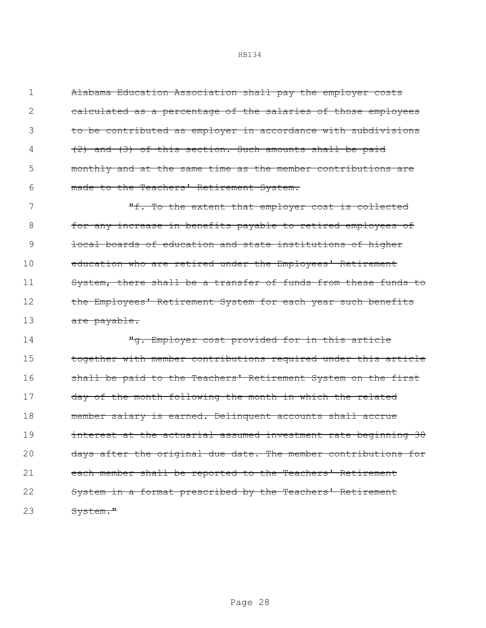Alabama Education Association shall pay the employer costs 2 calculated as a percentage of the salaries of those employees 3 to be contributed as employer in accordance with subdivisions (2) and (3) of this section. Such amounts shall be paid monthly and at the same time as the member contributions are made to the Teachers' Retirement System.

7 The the extent that employer cost is collected 8 **for any increase in benefits payable to retired employees of** 9 **local boards of education and state institutions of higher** 10 education who are retired under the Employees' Retirement 11 System, there shall be a transfer of funds from these funds to 12 the Employees' Retirement System for each year such benefits 13 are payable.

14 Tg. Employer cost provided for in this article 15 together with member contributions required under this article 16 shall be paid to the Teachers' Retirement System on the first 17 day of the month following the month in which the related 18 member salary is earned. Delinquent accounts shall accrue 19 **interest at the actuarial assumed investment rate beginning 30** 20 days after the original due date. The member contributions for 21 each member shall be reported to the Teachers' Retirement 22 System in a format prescribed by the Teachers' Retirement 23 System."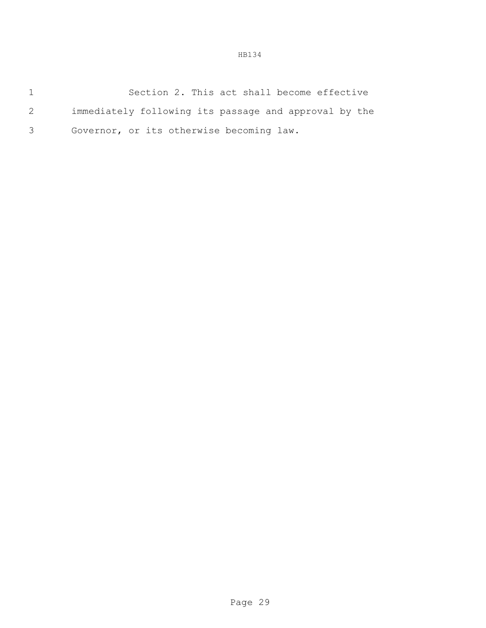|    | Section 2. This act shall become effective            |
|----|-------------------------------------------------------|
| 2  | immediately following its passage and approval by the |
| 3. | Governor, or its otherwise becoming law.              |